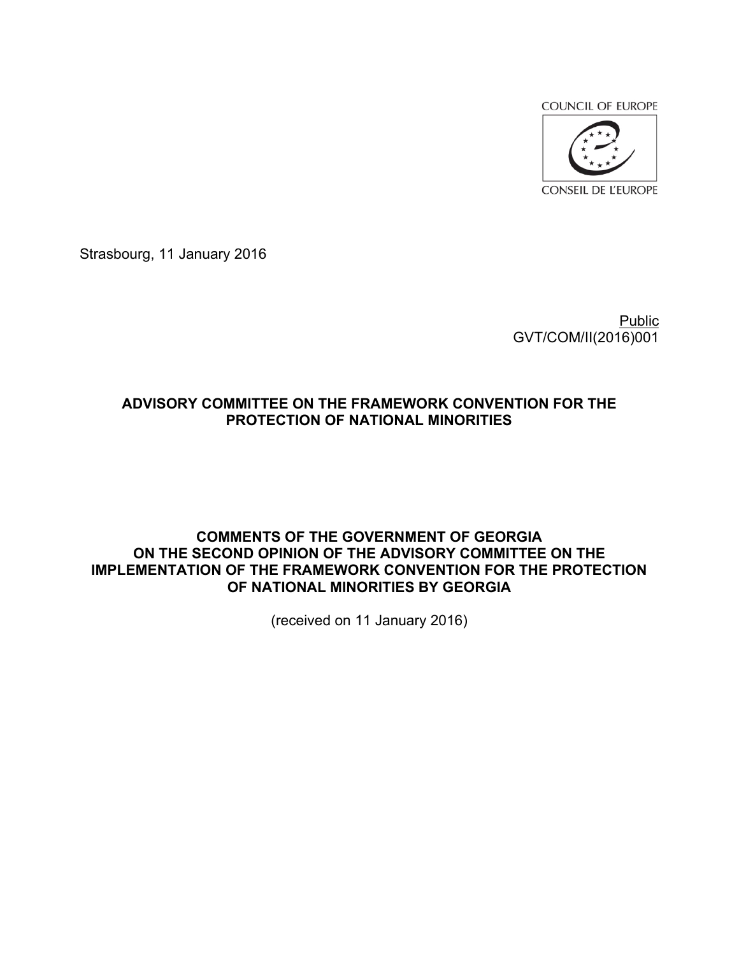**COUNCIL OF EUROPE** 



Strasbourg, 11 January 2016

Public GVT/COM/II(2016)001

# **ADVISORY COMMITTEE ON THE FRAMEWORK CONVENTION FOR THE PROTECTION OF NATIONAL MINORITIES**

## **COMMENTS OF THE GOVERNMENT OF GEORGIA ON THE SECOND OPINION OF THE ADVISORY COMMITTEE ON THE IMPLEMENTATION OF THE FRAMEWORK CONVENTION FOR THE PROTECTION OF NATIONAL MINORITIES BY GEORGIA**

(received on 11 January 2016)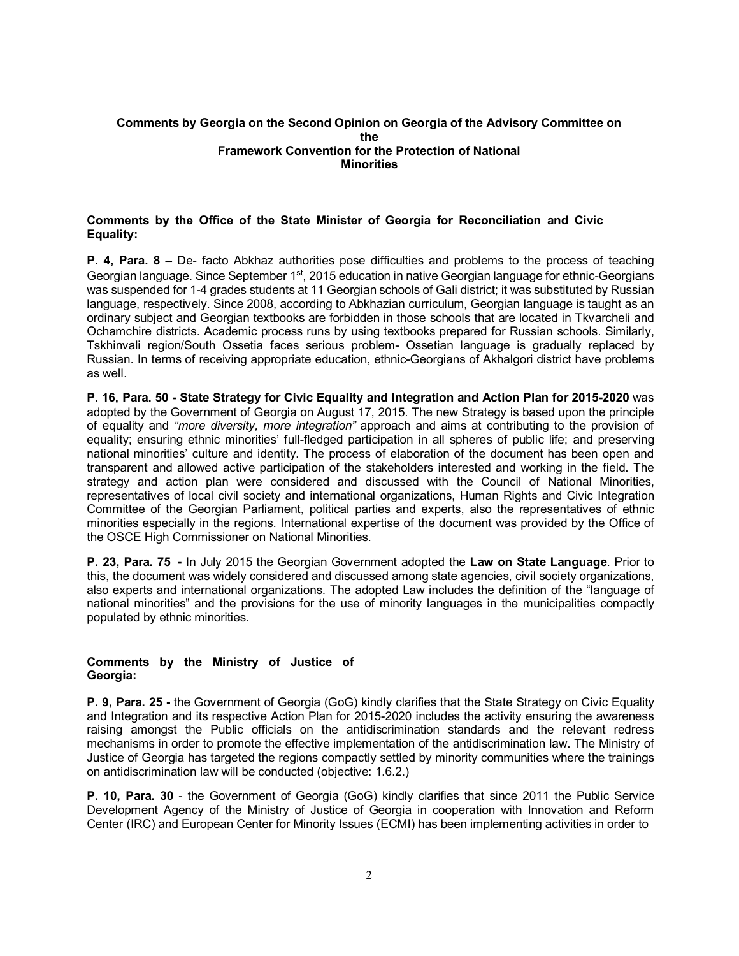## **Comments by Georgia on the Second Opinion on Georgia of the Advisory Committee on the Framework Convention for the Protection of National Minorities**

## **Comments by the Office of the State Minister of Georgia for Reconciliation and Civic Equality:**

**P. 4, Para. 8 –** De- facto Abkhaz authorities pose difficulties and problems to the process of teaching Georgian language. Since September 1<sup>st</sup>, 2015 education in native Georgian language for ethnic-Georgians was suspended for 1-4 grades students at 11 Georgian schools of Gali district; it was substituted by Russian language, respectively. Since 2008, according to Abkhazian curriculum, Georgian language is taught as an ordinary subject and Georgian textbooks are forbidden in those schools that are located in Tkvarcheli and Ochamchire districts. Academic process runs by using textbooks prepared for Russian schools. Similarly, Tskhinvali region/South Ossetia faces serious problem- Ossetian language is gradually replaced by Russian. In terms of receiving appropriate education, ethnic-Georgians of Akhalgori district have problems as well.

**P. 16, Para. 50 - State Strategy for Civic Equality and Integration and Action Plan for 2015-2020** was adopted by the Government of Georgia on August 17, 2015. The new Strategy is based upon the principle of equality and *"more diversity, more integration"* approach and aims at contributing to the provision of equality; ensuring ethnic minorities' full-fledged participation in all spheres of public life; and preserving national minorities' culture and identity. The process of elaboration of the document has been open and transparent and allowed active participation of the stakeholders interested and working in the field. The strategy and action plan were considered and discussed with the Council of National Minorities, representatives of local civil society and international organizations, Human Rights and Civic Integration Committee of the Georgian Parliament, political parties and experts, also the representatives of ethnic minorities especially in the regions. International expertise of the document was provided by the Office of the OSCE High Commissioner on National Minorities.

**P. 23, Para. 75 -** In July 2015 the Georgian Government adopted the **Law on State Language**. Prior to this, the document was widely considered and discussed among state agencies, civil society organizations, also experts and international organizations. The adopted Law includes the definition of the "language of national minorities" and the provisions for the use of minority languages in the municipalities compactly populated by ethnic minorities.

#### **Comments by the Ministry of Justice of Georgia:**

**P. 9, Para. 25 -** the Government of Georgia (GoG) kindly clarifies that the State Strategy on Civic Equality and Integration and its respective Action Plan for 2015-2020 includes the activity ensuring the awareness raising amongst the Public officials on the antidiscrimination standards and the relevant redress mechanisms in order to promote the effective implementation of the antidiscrimination law. The Ministry of Justice of Georgia has targeted the regions compactly settled by minority communities where the trainings on antidiscrimination law will be conducted (objective: 1.6.2.)

**P. 10, Para. 30** - the Government of Georgia (GoG) kindly clarifies that since 2011 the Public Service Development Agency of the Ministry of Justice of Georgia in cooperation with Innovation and Reform Center (IRC) and European Center for Minority Issues (ECMI) has been implementing activities in order to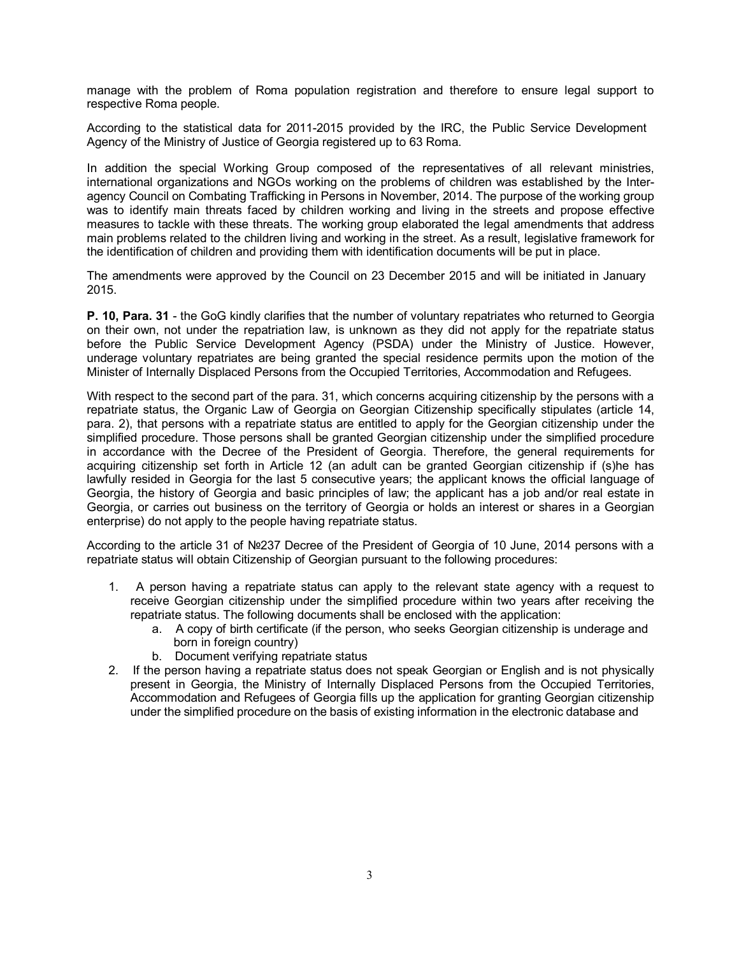manage with the problem of Roma population registration and therefore to ensure legal support to respective Roma people.

According to the statistical data for 2011-2015 provided by the IRC, the Public Service Development Agency of the Ministry of Justice of Georgia registered up to 63 Roma.

In addition the special Working Group composed of the representatives of all relevant ministries, international organizations and NGOs working on the problems of children was established by the Interagency Council on Combating Trafficking in Persons in November, 2014. The purpose of the working group was to identify main threats faced by children working and living in the streets and propose effective measures to tackle with these threats. The working group elaborated the legal amendments that address main problems related to the children living and working in the street. As a result, legislative framework for the identification of children and providing them with identification documents will be put in place.

The amendments were approved by the Council on 23 December 2015 and will be initiated in January 2015.

**P. 10, Para. 31** - the GoG kindly clarifies that the number of voluntary repatriates who returned to Georgia on their own, not under the repatriation law, is unknown as they did not apply for the repatriate status before the Public Service Development Agency (PSDA) under the Ministry of Justice. However, underage voluntary repatriates are being granted the special residence permits upon the motion of the Minister of Internally Displaced Persons from the Occupied Territories, Accommodation and Refugees.

With respect to the second part of the para. 31, which concerns acquiring citizenship by the persons with a repatriate status, the Organic Law of Georgia on Georgian Citizenship specifically stipulates (article 14, para. 2), that persons with a repatriate status are entitled to apply for the Georgian citizenship under the simplified procedure. Those persons shall be granted Georgian citizenship under the simplified procedure in accordance with the Decree of the President of Georgia. Therefore, the general requirements for acquiring citizenship set forth in Article 12 (an adult can be granted Georgian citizenship if (s)he has lawfully resided in Georgia for the last 5 consecutive years; the applicant knows the official language of Georgia, the history of Georgia and basic principles of law; the applicant has a job and/or real estate in Georgia, or carries out business on the territory of Georgia or holds an interest or shares in a Georgian enterprise) do not apply to the people having repatriate status.

According to the article 31 of №237 Decree of the President of Georgia of 10 June, 2014 persons with a repatriate status will obtain Citizenship of Georgian pursuant to the following procedures:

- 1. A person having a repatriate status can apply to the relevant state agency with a request to receive Georgian citizenship under the simplified procedure within two years after receiving the repatriate status. The following documents shall be enclosed with the application:
	- a. A copy of birth certificate (if the person, who seeks Georgian citizenship is underage and born in foreign country)
	- b. Document verifying repatriate status
- 2. If the person having a repatriate status does not speak Georgian or English and is not physically present in Georgia, the Ministry of Internally Displaced Persons from the Occupied Territories, Accommodation and Refugees of Georgia fills up the application for granting Georgian citizenship under the simplified procedure on the basis of existing information in the electronic database and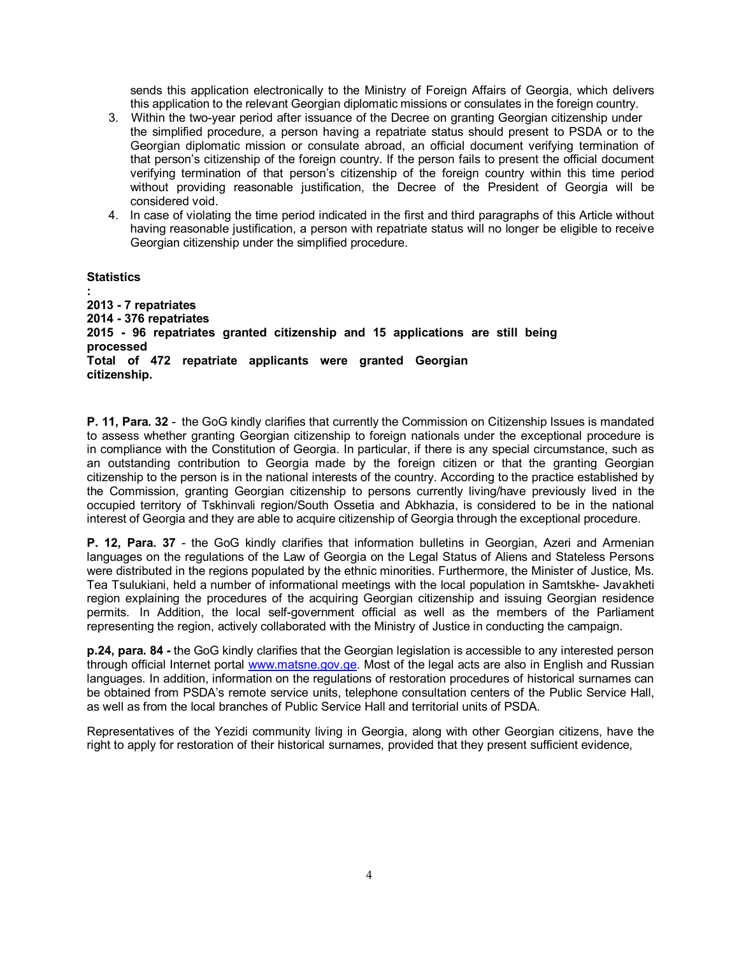sends this application electronically to the Ministry of Foreign Affairs of Georgia, which delivers this application to the relevant Georgian diplomatic missions or consulates in the foreign country.

- 3. Within the two-year period after issuance of the Decree on granting Georgian citizenship under the simplified procedure, a person having a repatriate status should present to PSDA or to the Georgian diplomatic mission or consulate abroad, an official document verifying termination of that person's citizenship of the foreign country. If the person fails to present the official document verifying termination of that person's citizenship of the foreign country within this time period without providing reasonable justification, the Decree of the President of Georgia will be considered void.
- 4. In case of violating the time period indicated in the first and third paragraphs of this Article without having reasonable justification, a person with repatriate status will no longer be eligible to receive Georgian citizenship under the simplified procedure.

#### **Statistics**

**: 2013 - 7 repatriates 2014 - 376 repatriates 2015 - 96 repatriates granted citizenship and 15 applications are still being processed Total of 472 repatriate applicants were granted Georgian citizenship.**

**P. 11, Para. 32** - the GoG kindly clarifies that currently the Commission on Citizenship Issues is mandated to assess whether granting Georgian citizenship to foreign nationals under the exceptional procedure is in compliance with the Constitution of Georgia. In particular, if there is any special circumstance, such as an outstanding contribution to Georgia made by the foreign citizen or that the granting Georgian citizenship to the person is in the national interests of the country. According to the practice established by the Commission, granting Georgian citizenship to persons currently living/have previously lived in the occupied territory of Tskhinvali region/South Ossetia and Abkhazia, is considered to be in the national interest of Georgia and they are able to acquire citizenship of Georgia through the exceptional procedure.

**P. 12, Para. 37** - the GoG kindly clarifies that information bulletins in Georgian, Azeri and Armenian languages on the regulations of the Law of Georgia on the Legal Status of Aliens and Stateless Persons were distributed in the regions populated by the ethnic minorities. Furthermore, the Minister of Justice, Ms. Tea Tsulukiani, held a number of informational meetings with the local population in Samtskhe- Javakheti region explaining the procedures of the acquiring Georgian citizenship and issuing Georgian residence permits. In Addition, the local self-government official as well as the members of the Parliament representing the region, actively collaborated with the Ministry of Justice in conducting the campaign.

**p.24, para. 84 -** the GoG kindly clarifies that the Georgian legislation is accessible to any interested person through official Internet portal [www.matsne.gov.ge.](http://www.matsne.gov.ge/) Most of the legal acts are also in English and Russian languages. In addition, information on the regulations of restoration procedures of historical surnames can be obtained from PSDA's remote service units, telephone consultation centers of the Public Service Hall, as well as from the local branches of Public Service Hall and territorial units of PSDA.

Representatives of the Yezidi community living in Georgia, along with other Georgian citizens, have the right to apply for restoration of their historical surnames, provided that they present sufficient evidence,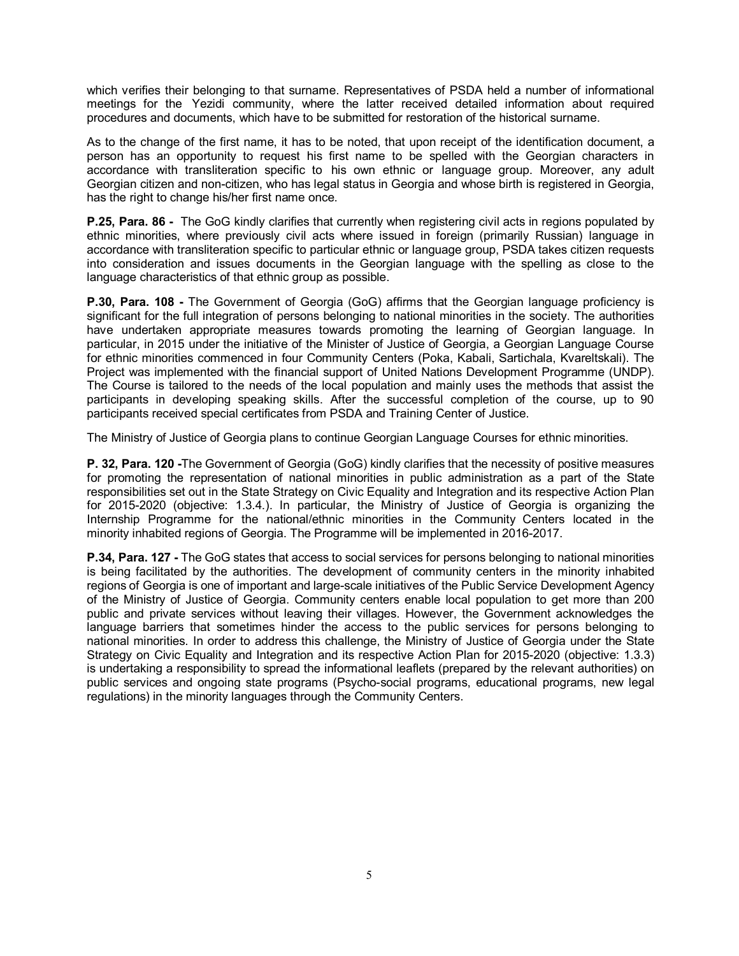which verifies their belonging to that surname. Representatives of PSDA held a number of informational meetings for the Yezidi community, where the latter received detailed information about required procedures and documents, which have to be submitted for restoration of the historical surname.

As to the change of the first name, it has to be noted, that upon receipt of the identification document, a person has an opportunity to request his first name to be spelled with the Georgian characters in accordance with transliteration specific to his own ethnic or language group. Moreover, any adult Georgian citizen and non-citizen, who has legal status in Georgia and whose birth is registered in Georgia, has the right to change his/her first name once.

**P.25, Para. 86 -** The GoG kindly clarifies that currently when registering civil acts in regions populated by ethnic minorities, where previously civil acts where issued in foreign (primarily Russian) language in accordance with transliteration specific to particular ethnic or language group, PSDA takes citizen requests into consideration and issues documents in the Georgian language with the spelling as close to the language characteristics of that ethnic group as possible.

**P.30, Para. 108 -** The Government of Georgia (GoG) affirms that the Georgian language proficiency is significant for the full integration of persons belonging to national minorities in the society. The authorities have undertaken appropriate measures towards promoting the learning of Georgian language. In particular, in 2015 under the initiative of the Minister of Justice of Georgia, a Georgian Language Course for ethnic minorities commenced in four Community Centers (Poka, Kabali, Sartichala, Kvareltskali). The Project was implemented with the financial support of United Nations Development Programme (UNDP). The Course is tailored to the needs of the local population and mainly uses the methods that assist the participants in developing speaking skills. After the successful completion of the course, up to 90 participants received special certificates from PSDA and Training Center of Justice.

The Ministry of Justice of Georgia plans to continue Georgian Language Courses for ethnic minorities.

**P. 32, Para. 120 -**The Government of Georgia (GoG) kindly clarifies that the necessity of positive measures for promoting the representation of national minorities in public administration as a part of the State responsibilities set out in the State Strategy on Civic Equality and Integration and its respective Action Plan for 2015-2020 (objective: 1.3.4.). In particular, the Ministry of Justice of Georgia is organizing the Internship Programme for the national/ethnic minorities in the Community Centers located in the minority inhabited regions of Georgia. The Programme will be implemented in 2016-2017.

**P.34, Para. 127 -** The GoG states that access to social services for persons belonging to national minorities is being facilitated by the authorities. The development of community centers in the minority inhabited regions of Georgia is one of important and large-scale initiatives of the Public Service Development Agency of the Ministry of Justice of Georgia. Community centers enable local population to get more than 200 public and private services without leaving their villages. However, the Government acknowledges the language barriers that sometimes hinder the access to the public services for persons belonging to national minorities. In order to address this challenge, the Ministry of Justice of Georgia under the State Strategy on Civic Equality and Integration and its respective Action Plan for 2015-2020 (objective: 1.3.3) is undertaking a responsibility to spread the informational leaflets (prepared by the relevant authorities) on public services and ongoing state programs (Psycho-social programs, educational programs, new legal regulations) in the minority languages through the Community Centers.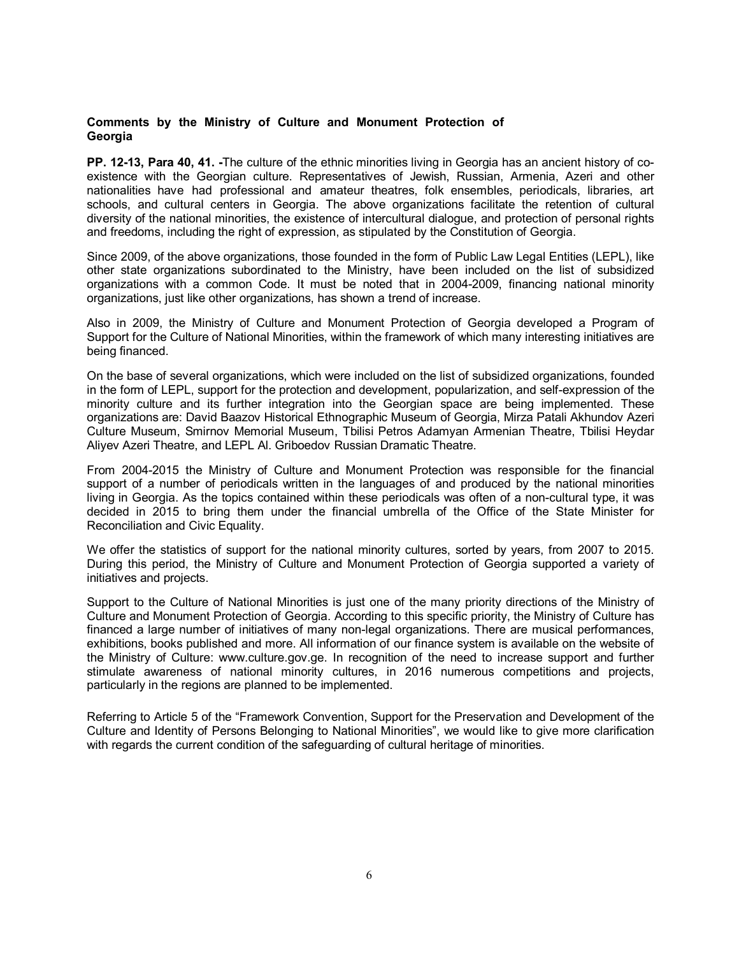#### **Comments by the Ministry of Culture and Monument Protection of Georgia**

**PP. 12-13, Para 40, 41. -**The culture of the ethnic minorities living in Georgia has an ancient history of coexistence with the Georgian culture. Representatives of Jewish, Russian, Armenia, Azeri and other nationalities have had professional and amateur theatres, folk ensembles, periodicals, libraries, art schools, and cultural centers in Georgia. The above organizations facilitate the retention of cultural diversity of the national minorities, the existence of intercultural dialogue, and protection of personal rights and freedoms, including the right of expression, as stipulated by the Constitution of Georgia.

Since 2009, of the above organizations, those founded in the form of Public Law Legal Entities (LEPL), like other state organizations subordinated to the Ministry, have been included on the list of subsidized organizations with a common Code. It must be noted that in 2004-2009, financing national minority organizations, just like other organizations, has shown a trend of increase.

Also in 2009, the Ministry of Culture and Monument Protection of Georgia developed a Program of Support for the Culture of National Minorities, within the framework of which many interesting initiatives are being financed.

On the base of several organizations, which were included on the list of subsidized organizations, founded in the form of LEPL, support for the protection and development, popularization, and self-expression of the minority culture and its further integration into the Georgian space are being implemented. These organizations are: David Baazov Historical Ethnographic Museum of Georgia, Mirza Patali Akhundov Azeri Culture Museum, Smirnov Memorial Museum, Tbilisi Petros Adamyan Armenian Theatre, Tbilisi Heydar Aliyev Azeri Theatre, and LEPL Al. Griboedov Russian Dramatic Theatre.

From 2004-2015 the Ministry of Culture and Monument Protection was responsible for the financial support of a number of periodicals written in the languages of and produced by the national minorities living in Georgia. As the topics contained within these periodicals was often of a non-cultural type, it was decided in 2015 to bring them under the financial umbrella of the Office of the State Minister for Reconciliation and Civic Equality.

We offer the statistics of support for the national minority cultures, sorted by years, from 2007 to 2015. During this period, the Ministry of Culture and Monument Protection of Georgia supported a variety of initiatives and projects.

Support to the Culture of National Minorities is just one of the many priority directions of the Ministry of Culture and Monument Protection of Georgia. According to this specific priority, the Ministry of Culture has financed a large number of initiatives of many non-legal organizations. There are musical performances, exhibitions, books published and more. All information of our finance system is available on the website of the Ministry of Culture: [www.culture.gov.ge.](http://www.culture.gov.ge/) In recognition of the need to increase support and further stimulate awareness of national minority cultures, in 2016 numerous competitions and projects, particularly in the regions are planned to be implemented.

Referring to Article 5 of the "Framework Convention, Support for the Preservation and Development of the Culture and Identity of Persons Belonging to National Minorities", we would like to give more clarification with regards the current condition of the safeguarding of cultural heritage of minorities.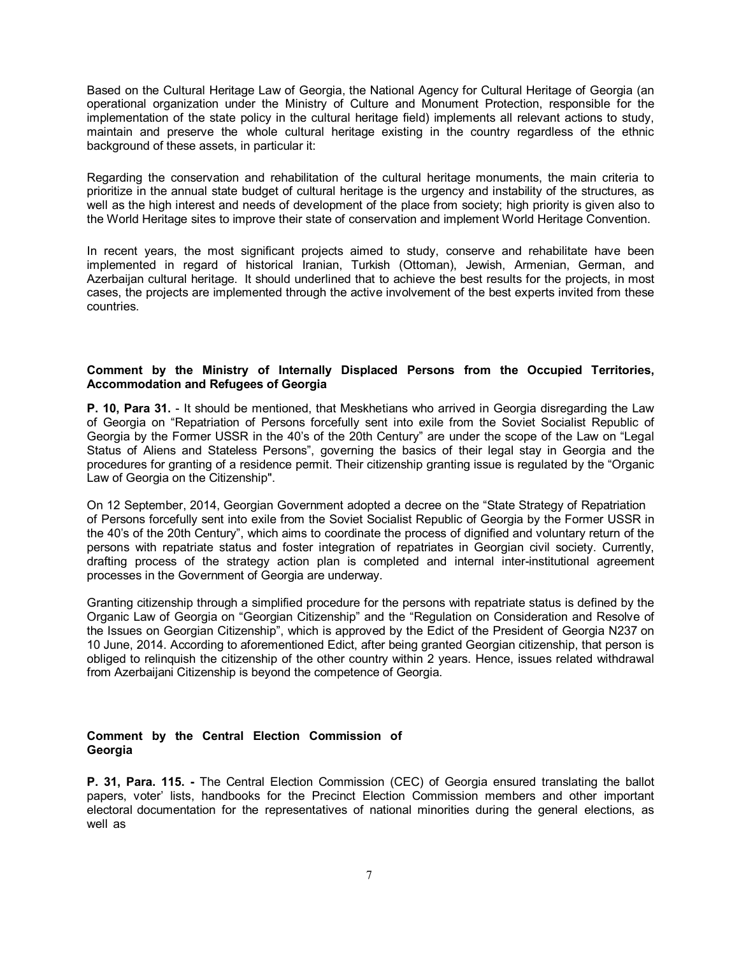Based on the Cultural Heritage Law of Georgia, the National Agency for Cultural Heritage of Georgia (an operational organization under the Ministry of Culture and Monument Protection, responsible for the implementation of the state policy in the cultural heritage field) implements all relevant actions to study, maintain and preserve the whole cultural heritage existing in the country regardless of the ethnic background of these assets, in particular it:

Regarding the conservation and rehabilitation of the cultural heritage monuments, the main criteria to prioritize in the annual state budget of cultural heritage is the urgency and instability of the structures, as well as the high interest and needs of development of the place from society; high priority is given also to the World Heritage sites to improve their state of conservation and implement World Heritage Convention.

In recent years, the most significant projects aimed to study, conserve and rehabilitate have been implemented in regard of historical Iranian, Turkish (Ottoman), Jewish, Armenian, German, and Azerbaijan cultural heritage. It should underlined that to achieve the best results for the projects, in most cases, the projects are implemented through the active involvement of the best experts invited from these countries.

## **Comment by the Ministry of Internally Displaced Persons from the Occupied Territories, Accommodation and Refugees of Georgia**

**P. 10, Para 31.** - It should be mentioned, that Meskhetians who arrived in Georgia disregarding the Law of Georgia on "Repatriation of Persons forcefully sent into exile from the Soviet Socialist Republic of Georgia by the Former USSR in the 40's of the 20th Century" are under the scope of the Law on "Legal Status of Aliens and Stateless Persons", governing the basics of their legal stay in Georgia and the procedures for granting of a residence permit. Their citizenship granting issue is regulated by the "Organic Law of Georgia on the Citizenship".

On 12 September, 2014, Georgian Government adopted a decree on the "State Strategy of Repatriation of Persons forcefully sent into exile from the Soviet Socialist Republic of Georgia by the Former USSR in the 40's of the 20th Century", which aims to coordinate the process of dignified and voluntary return of the persons with repatriate status and foster integration of repatriates in Georgian civil society. Currently, drafting process of the strategy action plan is completed and internal inter-institutional agreement processes in the Government of Georgia are underway.

Granting citizenship through a simplified procedure for the persons with repatriate status is defined by the Organic Law of Georgia on "Georgian Citizenship" and the "Regulation on Consideration and Resolve of the Issues on Georgian Citizenship", which is approved by the Edict of the President of Georgia N237 on 10 June, 2014. According to aforementioned Edict, after being granted Georgian citizenship, that person is obliged to relinquish the citizenship of the other country within 2 years. Hence, issues related withdrawal from Azerbaijani Citizenship is beyond the competence of Georgia.

#### **Comment by the Central Election Commission of Georgia**

**P. 31, Para. 115. -** The Central Election Commission (CEC) of Georgia ensured translating the ballot papers, voter' lists, handbooks for the Precinct Election Commission members and other important electoral documentation for the representatives of national minorities during the general elections, as well as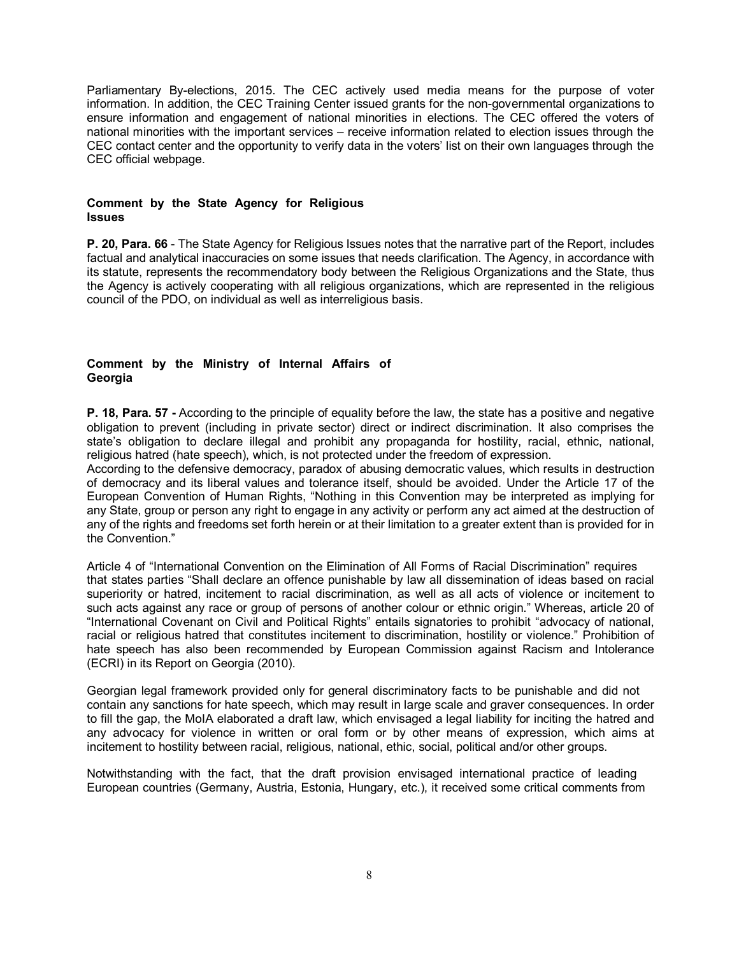Parliamentary By-elections, 2015. The CEC actively used media means for the purpose of voter information. In addition, the CEC Training Center issued grants for the non-governmental organizations to ensure information and engagement of national minorities in elections. The CEC offered the voters of national minorities with the important services – receive information related to election issues through the CEC contact center and the opportunity to verify data in the voters' list on their own languages through the CEC official webpage.

#### **Comment by the State Agency for Religious Issues**

**P. 20, Para. 66** - The State Agency for Religious Issues notes that the narrative part of the Report, includes factual and analytical inaccuracies on some issues that needs clarification. The Agency, in accordance with its statute, represents the recommendatory body between the Religious Organizations and the State, thus the Agency is actively cooperating with all religious organizations, which are represented in the religious council of the PDO, on individual as well as interreligious basis.

#### **Comment by the Ministry of Internal Affairs of Georgia**

**P. 18, Para. 57 -** According to the principle of equality before the law, the state has a positive and negative obligation to prevent (including in private sector) direct or indirect discrimination. It also comprises the state's obligation to declare illegal and prohibit any propaganda for hostility, racial, ethnic, national, religious hatred (hate speech), which, is not protected under the freedom of expression.

According to the defensive democracy, paradox of abusing democratic values, which results in destruction of democracy and its liberal values and tolerance itself, should be avoided. Under the Article 17 of the European Convention of Human Rights, "Nothing in this Convention may be interpreted as implying for any State, group or person any right to engage in any activity or perform any act aimed at the destruction of any of the rights and freedoms set forth herein or at their limitation to a greater extent than is provided for in the Convention."

Article 4 of "International Convention on the Elimination of All Forms of Racial Discrimination" requires that states parties "Shall declare an offence punishable by law all dissemination of ideas based on racial superiority or hatred, incitement to racial discrimination, as well as all acts of violence or incitement to such acts against any race or group of persons of another colour or ethnic origin." Whereas, article 20 of "International Covenant on Civil and Political Rights" entails signatories to prohibit "advocacy of national, racial or religious hatred that constitutes incitement to discrimination, hostility or violence." Prohibition of hate speech has also been recommended by European Commission against Racism and Intolerance (ECRI) in its Report on Georgia (2010).

Georgian legal framework provided only for general discriminatory facts to be punishable and did not contain any sanctions for hate speech, which may result in large scale and graver consequences. In order to fill the gap, the MoIA elaborated a draft law, which envisaged a legal liability for inciting the hatred and any advocacy for violence in written or oral form or by other means of expression, which aims at incitement to hostility between racial, religious, national, ethic, social, political and/or other groups.

Notwithstanding with the fact, that the draft provision envisaged international practice of leading European countries (Germany, Austria, Estonia, Hungary, etc.), it received some critical comments from